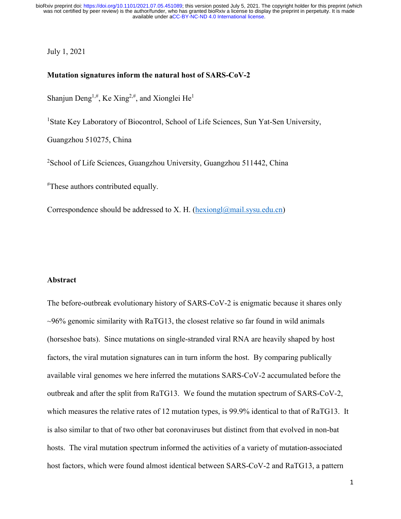July 1, 2021

### **Mutation signatures inform the natural host of SARS-CoV-2**

Shanjun Deng<sup>1,#</sup>, Ke Xing<sup>2,#</sup>, and Xionglei He<sup>1</sup>

<sup>1</sup>State Key Laboratory of Biocontrol, School of Life Sciences, Sun Yat-Sen University,

Guangzhou 510275, China

<sup>2</sup>School of Life Sciences, Guangzhou University, Guangzhou 511442, China

# These authors contributed equally.

Correspondence should be addressed to X. H. [\(hexiongl@mail.sysu.edu.cn\)](mailto:hexiongl@mail.sysu.edu.cn)

### **Abstract**

The before-outbreak evolutionary history of SARS-CoV-2 is enigmatic because it shares only  $\sim$ 96% genomic similarity with RaTG13, the closest relative so far found in wild animals (horseshoe bats). Since mutations on single-stranded viral RNA are heavily shaped by host factors, the viral mutation signatures can in turn inform the host. By comparing publically available viral genomes we here inferred the mutations SARS-CoV-2 accumulated before the outbreak and after the split from RaTG13. We found the mutation spectrum of SARS-CoV-2, which measures the relative rates of 12 mutation types, is 99.9% identical to that of RaTG13. It is also similar to that of two other bat coronaviruses but distinct from that evolved in non-bat hosts. The viral mutation spectrum informed the activities of a variety of mutation-associated host factors, which were found almost identical between SARS-CoV-2 and RaTG13, a pattern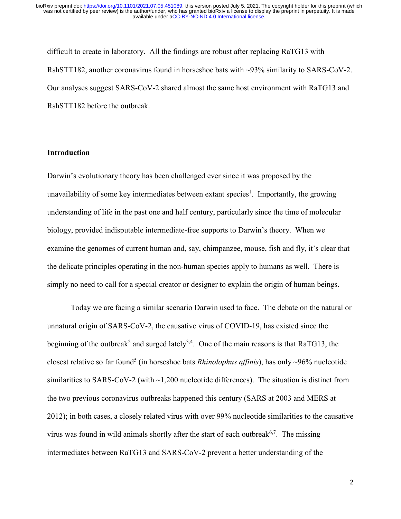difficult to create in laboratory. All the findings are robust after replacing RaTG13 with RshSTT182, another coronavirus found in horseshoe bats with ~93% similarity to SARS-CoV-2. Our analyses suggest SARS-CoV-2 shared almost the same host environment with RaTG13 and RshSTT182 before the outbreak.

## **Introduction**

Darwin's evolutionary theory has been challenged ever since it was proposed by the unavailability of some key intermediates between extant species<sup>1</sup>. Importantly, the growing understanding of life in the past one and half century, particularly since the time of molecular biology, provided indisputable intermediate-free supports to Darwin's theory. When we examine the genomes of current human and, say, chimpanzee, mouse, fish and fly, it's clear that the delicate principles operating in the non-human species apply to humans as well. There is simply no need to call for a special creator or designer to explain the origin of human beings.

Today we are facing a similar scenario Darwin used to face. The debate on the natural or unnatural origin of SARS-CoV-2, the causative virus of COVID-19, has existed since the beginning of the outbreak<sup>2</sup> and surged lately<sup>3,4</sup>. One of the main reasons is that RaTG13, the closest relative so far found5 (in horseshoe bats *Rhinolophus affinis*), has only ~96% nucleotide similarities to SARS-CoV-2 (with ~1,200 nucleotide differences). The situation is distinct from the two previous coronavirus outbreaks happened this century (SARS at 2003 and MERS at 2012); in both cases, a closely related virus with over 99% nucleotide similarities to the causative virus was found in wild animals shortly after the start of each outbreak<sup>6,7</sup>. The missing intermediates between RaTG13 and SARS-CoV-2 prevent a better understanding of the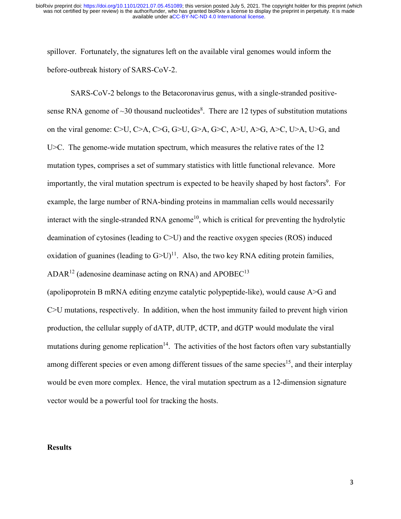spillover. Fortunately, the signatures left on the available viral genomes would inform the before-outbreak history of SARS-CoV-2.

SARS-CoV-2 belongs to the Betacoronavirus genus, with a single-stranded positivesense RNA genome of  $\sim$ 30 thousand nucleotides<sup>8</sup>. There are 12 types of substitution mutations on the viral genome: C>U, C>A, C>G, G>U, G>A, G>C, A>U, A>G, A>C, U>A, U>G, and U SC. The genome-wide mutation spectrum, which measures the relative rates of the 12 mutation types, comprises a set of summary statistics with little functional relevance. More importantly, the viral mutation spectrum is expected to be heavily shaped by host factors<sup>9</sup>. For example, the large number of RNA-binding proteins in mammalian cells would necessarily interact with the single-stranded RNA genome<sup>10</sup>, which is critical for preventing the hydrolytic deamination of cytosines (leading to C>U) and the reactive oxygen species (ROS) induced oxidation of guanines (leading to  $G > U$ )<sup>11</sup>. Also, the two key RNA editing protein families,  $ADAR<sup>12</sup>$  (adenosine deaminase acting on RNA) and APOBEC<sup>13</sup>

(apolipoprotein B mRNA editing enzyme catalytic polypeptide-like), would cause A>G and C>U mutations, respectively. In addition, when the host immunity failed to prevent high virion production, the cellular supply of dATP, dUTP, dCTP, and dGTP would modulate the viral mutations during genome replication<sup>14</sup>. The activities of the host factors often vary substantially among different species or even among different tissues of the same species<sup>15</sup>, and their interplay would be even more complex. Hence, the viral mutation spectrum as a 12-dimension signature vector would be a powerful tool for tracking the hosts.

## **Results**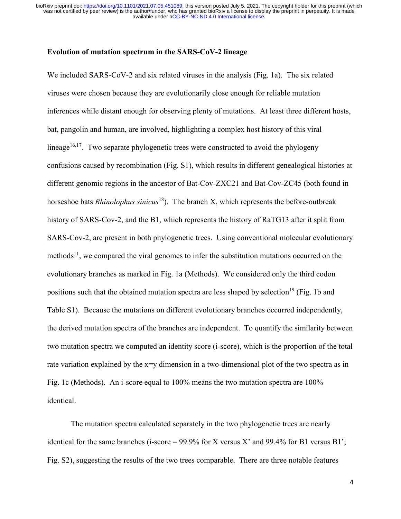### **Evolution of mutation spectrum in the SARS-CoV-2 lineage**

We included SARS-CoV-2 and six related viruses in the analysis (Fig. 1a). The six related viruses were chosen because they are evolutionarily close enough for reliable mutation inferences while distant enough for observing plenty of mutations. At least three different hosts, bat, pangolin and human, are involved, highlighting a complex host history of this viral lineage<sup>16,17</sup>. Two separate phylogenetic trees were constructed to avoid the phylogeny confusions caused by recombination (Fig. S1), which results in different genealogical histories at different genomic regions in the ancestor of Bat-Cov-ZXC21 and Bat-Cov-ZC45 (both found in horseshoe bats *Rhinolophus sinicus*18). The branch X, which represents the before-outbreak history of SARS-Cov-2, and the B1, which represents the history of RaTG13 after it split from SARS-Cov-2, are present in both phylogenetic trees. Using conventional molecular evolutionary methods<sup>11</sup>, we compared the viral genomes to infer the substitution mutations occurred on the evolutionary branches as marked in Fig. 1a (Methods). We considered only the third codon positions such that the obtained mutation spectra are less shaped by selection<sup>19</sup> (Fig. 1b and Table S1). Because the mutations on different evolutionary branches occurred independently, the derived mutation spectra of the branches are independent. To quantify the similarity between two mutation spectra we computed an identity score (i-score), which is the proportion of the total rate variation explained by the x=y dimension in a two-dimensional plot of the two spectra as in Fig. 1c (Methods). An i-score equal to 100% means the two mutation spectra are 100% identical.

The mutation spectra calculated separately in the two phylogenetic trees are nearly identical for the same branches (i-score =  $99.9\%$  for X versus X' and  $99.4\%$  for B1 versus B1'; Fig. S2), suggesting the results of the two trees comparable. There are three notable features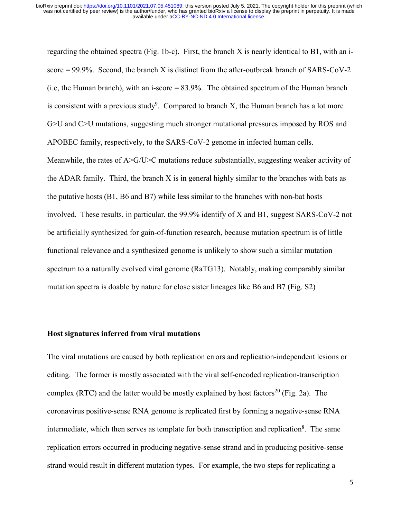regarding the obtained spectra (Fig. 1b-c). First, the branch X is nearly identical to B1, with an iscore  $= 99.9\%$ . Second, the branch X is distinct from the after-outbreak branch of SARS-CoV-2 (i.e, the Human branch), with an i-score = 83.9%. The obtained spectrum of the Human branch is consistent with a previous study<sup>9</sup>. Compared to branch X, the Human branch has a lot more G>U and C>U mutations, suggesting much stronger mutational pressures imposed by ROS and APOBEC family, respectively, to the SARS-CoV-2 genome in infected human cells. Meanwhile, the rates of A>G/U>C mutations reduce substantially, suggesting weaker activity of the ADAR family. Third, the branch X is in general highly similar to the branches with bats as the putative hosts (B1, B6 and B7) while less similar to the branches with non-bat hosts involved. These results, in particular, the 99.9% identify of X and B1, suggest SARS-CoV-2 not be artificially synthesized for gain-of-function research, because mutation spectrum is of little functional relevance and a synthesized genome is unlikely to show such a similar mutation spectrum to a naturally evolved viral genome (RaTG13). Notably, making comparably similar mutation spectra is doable by nature for close sister lineages like B6 and B7 (Fig. S2)

### **Host signatures inferred from viral mutations**

The viral mutations are caused by both replication errors and replication-independent lesions or editing. The former is mostly associated with the viral self-encoded replication-transcription complex (RTC) and the latter would be mostly explained by host factors<sup>20</sup> (Fig. 2a). The coronavirus positive-sense RNA genome is replicated first by forming a negative-sense RNA intermediate, which then serves as template for both transcription and replication<sup>8</sup>. The same replication errors occurred in producing negative-sense strand and in producing positive-sense strand would result in different mutation types. For example, the two steps for replicating a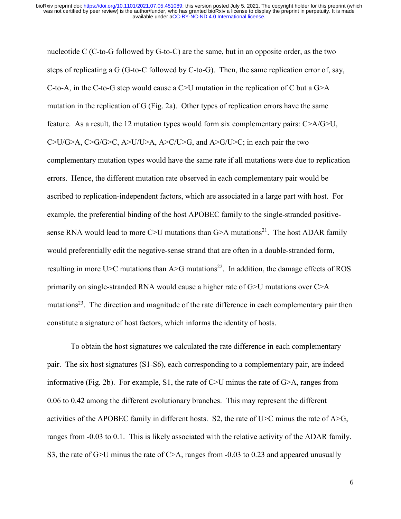nucleotide C (C-to-G followed by G-to-C) are the same, but in an opposite order, as the two steps of replicating a G (G-to-C followed by C-to-G). Then, the same replication error of, say, C-to-A, in the C-to-G step would cause a C $>U$  mutation in the replication of C but a G $\geq$ A mutation in the replication of G (Fig. 2a). Other types of replication errors have the same feature. As a result, the 12 mutation types would form six complementary pairs: C>A/G>U, C>U/G>A, C>G/G>C, A>U/U>A, A>C/U>G, and A>G/U>C; in each pair the two complementary mutation types would have the same rate if all mutations were due to replication errors. Hence, the different mutation rate observed in each complementary pair would be ascribed to replication-independent factors, which are associated in a large part with host. For example, the preferential binding of the host APOBEC family to the single-stranded positivesense RNA would lead to more C>U mutations than  $G$ >A mutations<sup>21</sup>. The host ADAR family would preferentially edit the negative-sense strand that are often in a double-stranded form, resulting in more U $\geq$ C mutations than A $\geq$ G mutations<sup>22</sup>. In addition, the damage effects of ROS primarily on single-stranded RNA would cause a higher rate of G>U mutations over C>A mutations<sup>23</sup>. The direction and magnitude of the rate difference in each complementary pair then constitute a signature of host factors, which informs the identity of hosts.

 To obtain the host signatures we calculated the rate difference in each complementary pair. The six host signatures (S1-S6), each corresponding to a complementary pair, are indeed informative (Fig. 2b). For example, S1, the rate of C>U minus the rate of G>A, ranges from 0.06 to 0.42 among the different evolutionary branches. This may represent the different activities of the APOBEC family in different hosts. S2, the rate of U $\geq$ C minus the rate of A $\geq$ G, ranges from -0.03 to 0.1. This is likely associated with the relative activity of the ADAR family. S3, the rate of G $>U$  minus the rate of C $\geq$ A, ranges from -0.03 to 0.23 and appeared unusually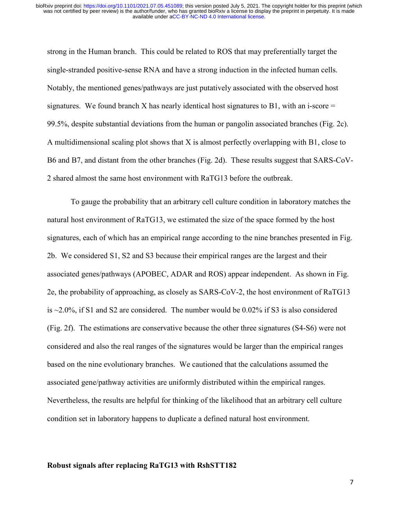strong in the Human branch. This could be related to ROS that may preferentially target the single-stranded positive-sense RNA and have a strong induction in the infected human cells. Notably, the mentioned genes/pathways are just putatively associated with the observed host signatures. We found branch X has nearly identical host signatures to B1, with an i-score  $=$ 99.5%, despite substantial deviations from the human or pangolin associated branches (Fig. 2c). A multidimensional scaling plot shows that X is almost perfectly overlapping with B1, close to B6 and B7, and distant from the other branches (Fig. 2d). These results suggest that SARS-CoV-2 shared almost the same host environment with RaTG13 before the outbreak.

To gauge the probability that an arbitrary cell culture condition in laboratory matches the natural host environment of RaTG13, we estimated the size of the space formed by the host signatures, each of which has an empirical range according to the nine branches presented in Fig. 2b. We considered S1, S2 and S3 because their empirical ranges are the largest and their associated genes/pathways (APOBEC, ADAR and ROS) appear independent. As shown in Fig. 2e, the probability of approaching, as closely as SARS-CoV-2, the host environment of RaTG13 is ~2.0%, if S1 and S2 are considered. The number would be 0.02% if S3 is also considered (Fig. 2f). The estimations are conservative because the other three signatures (S4-S6) were not considered and also the real ranges of the signatures would be larger than the empirical ranges based on the nine evolutionary branches. We cautioned that the calculations assumed the associated gene/pathway activities are uniformly distributed within the empirical ranges. Nevertheless, the results are helpful for thinking of the likelihood that an arbitrary cell culture condition set in laboratory happens to duplicate a defined natural host environment.

### **Robust signals after replacing RaTG13 with RshSTT182**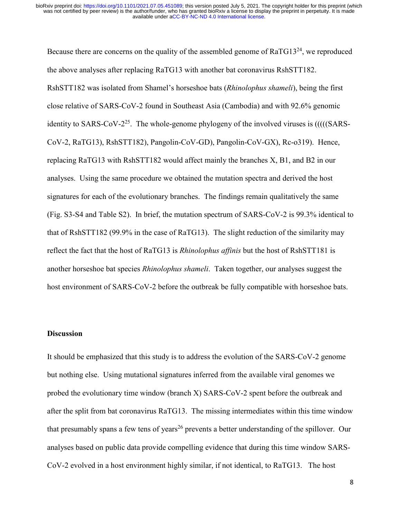Because there are concerns on the quality of the assembled genome of  $RaTG13^{24}$ , we reproduced the above analyses after replacing RaTG13 with another bat coronavirus RshSTT182. RshSTT182 was isolated from Shamel's horseshoe bats (*Rhinolophus shameli*), being the first close relative of SARS-CoV-2 found in Southeast Asia (Cambodia) and with 92.6% genomic identity to SARS-CoV- $2^{25}$ . The whole-genome phylogeny of the involved viruses is  $(((SARS - SAS))$ CoV-2, RaTG13), RshSTT182), Pangolin-CoV-GD), Pangolin-CoV-GX), Rc-o319). Hence, replacing RaTG13 with RshSTT182 would affect mainly the branches X, B1, and B2 in our analyses. Using the same procedure we obtained the mutation spectra and derived the host signatures for each of the evolutionary branches. The findings remain qualitatively the same (Fig. S3-S4 and Table S2). In brief, the mutation spectrum of SARS-CoV-2 is 99.3% identical to that of RshSTT182 (99.9% in the case of RaTG13). The slight reduction of the similarity may reflect the fact that the host of RaTG13 is *Rhinolophus affinis* but the host of RshSTT181 is another horseshoe bat species *Rhinolophus shameli*. Taken together, our analyses suggest the host environment of SARS-CoV-2 before the outbreak be fully compatible with horseshoe bats.

## **Discussion**

It should be emphasized that this study is to address the evolution of the SARS-CoV-2 genome but nothing else. Using mutational signatures inferred from the available viral genomes we probed the evolutionary time window (branch X) SARS-CoV-2 spent before the outbreak and after the split from bat coronavirus RaTG13. The missing intermediates within this time window that presumably spans a few tens of years<sup>26</sup> prevents a better understanding of the spillover. Our analyses based on public data provide compelling evidence that during this time window SARS-CoV-2 evolved in a host environment highly similar, if not identical, to RaTG13. The host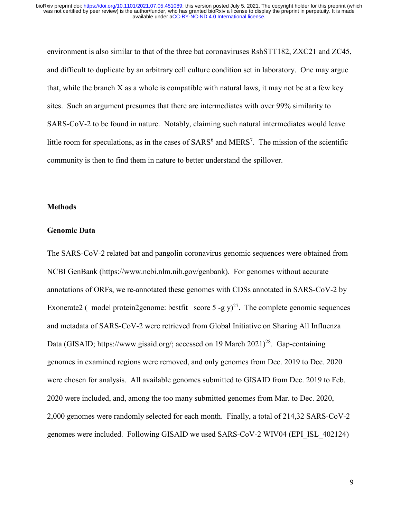environment is also similar to that of the three bat coronaviruses RshSTT182, ZXC21 and ZC45, and difficult to duplicate by an arbitrary cell culture condition set in laboratory. One may argue that, while the branch  $X$  as a whole is compatible with natural laws, it may not be at a few key sites. Such an argument presumes that there are intermediates with over 99% similarity to SARS-CoV-2 to be found in nature. Notably, claiming such natural intermediates would leave little room for speculations, as in the cases of  $SARS^6$  and  $MERS^7$ . The mission of the scientific community is then to find them in nature to better understand the spillover.

### **Methods**

### **Genomic Data**

The SARS-CoV-2 related bat and pangolin coronavirus genomic sequences were obtained from NCBI GenBank (https://www.ncbi.nlm.nih.gov/genbank). For genomes without accurate annotations of ORFs, we re-annotated these genomes with CDSs annotated in SARS-CoV-2 by Exonerate2 (–model protein2genome: bestfit –score 5 -g y)<sup>27</sup>. The complete genomic sequences and metadata of SARS-CoV-2 were retrieved from Global Initiative on Sharing All Influenza Data (GISAID; https://www.gisaid.org/; accessed on 19 March 2021)<sup>28</sup>. Gap-containing genomes in examined regions were removed, and only genomes from Dec. 2019 to Dec. 2020 were chosen for analysis. All available genomes submitted to GISAID from Dec. 2019 to Feb. 2020 were included, and, among the too many submitted genomes from Mar. to Dec. 2020, 2,000 genomes were randomly selected for each month. Finally, a total of 214,32 SARS-CoV-2 genomes were included. Following GISAID we used SARS-CoV-2 WIV04 (EPI\_ISL\_402124)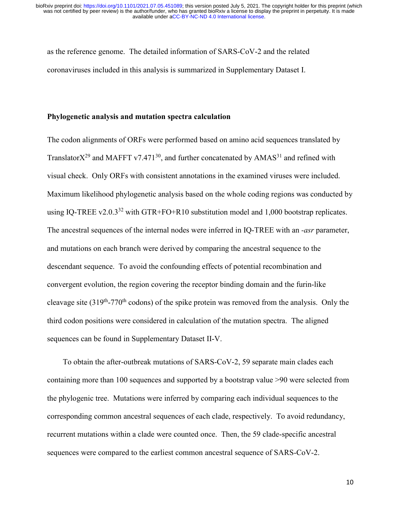as the reference genome. The detailed information of SARS-CoV-2 and the related coronaviruses included in this analysis is summarized in Supplementary Dataset I.

### **Phylogenetic analysis and mutation spectra calculation**

The codon alignments of ORFs were performed based on amino acid sequences translated by Translator $X^{29}$  and MAFFT v7.471<sup>30</sup>, and further concatenated by AMAS<sup>31</sup> and refined with visual check. Only ORFs with consistent annotations in the examined viruses were included. Maximum likelihood phylogenetic analysis based on the whole coding regions was conducted by using IQ-TREE v2.0.3<sup>32</sup> with GTR+FO+R10 substitution model and 1,000 bootstrap replicates. The ancestral sequences of the internal nodes were inferred in IQ-TREE with an *-asr* parameter, and mutations on each branch were derived by comparing the ancestral sequence to the descendant sequence. To avoid the confounding effects of potential recombination and convergent evolution, the region covering the receptor binding domain and the furin-like cleavage site  $(319<sup>th</sup>-770<sup>th</sup>$  codons) of the spike protein was removed from the analysis. Only the third codon positions were considered in calculation of the mutation spectra. The aligned sequences can be found in Supplementary Dataset II-V.

To obtain the after-outbreak mutations of SARS-CoV-2, 59 separate main clades each containing more than 100 sequences and supported by a bootstrap value >90 were selected from the phylogenic tree. Mutations were inferred by comparing each individual sequences to the corresponding common ancestral sequences of each clade, respectively. To avoid redundancy, recurrent mutations within a clade were counted once. Then, the 59 clade-specific ancestral sequences were compared to the earliest common ancestral sequence of SARS-CoV-2.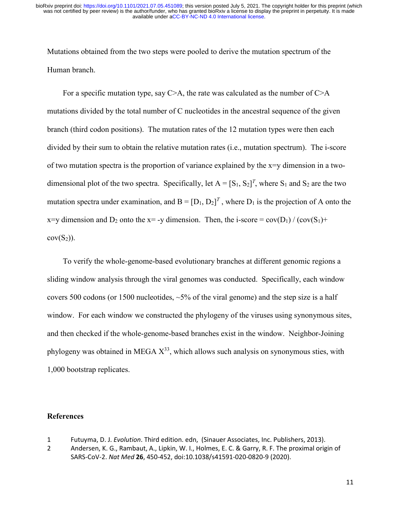Mutations obtained from the two steps were pooled to derive the mutation spectrum of the Human branch.

For a specific mutation type, say  $C \geq A$ , the rate was calculated as the number of  $C \geq A$ mutations divided by the total number of C nucleotides in the ancestral sequence of the given branch (third codon positions). The mutation rates of the 12 mutation types were then each divided by their sum to obtain the relative mutation rates (i.e., mutation spectrum). The i-score of two mutation spectra is the proportion of variance explained by the  $x=y$  dimension in a twodimensional plot of the two spectra. Specifically, let  $A = [S_1, S_2]^T$ , where  $S_1$  and  $S_2$  are the two mutation spectra under examination, and  $B = [D_1, D_2]^T$ , where  $D_1$  is the projection of A onto the x=y dimension and D<sub>2</sub> onto the x= -y dimension. Then, the i-score =  $cov(D_1) / (cov(S_1) +$  $cov(S_2)$ ).

To verify the whole-genome-based evolutionary branches at different genomic regions a sliding window analysis through the viral genomes was conducted. Specifically, each window covers 500 codons (or 1500 nucleotides,  $\sim$  5% of the viral genome) and the step size is a half window. For each window we constructed the phylogeny of the viruses using synonymous sites, and then checked if the whole-genome-based branches exist in the window. Neighbor-Joining phylogeny was obtained in MEGA  $X^{33}$ , which allows such analysis on synonymous sties, with 1,000 bootstrap replicates.

#### **References**

- 1 Futuyma, D. J. *Evolution*. Third edition. edn, (Sinauer Associates, Inc. Publishers, 2013).
- 2 Andersen, K. G., Rambaut, A., Lipkin, W. I., Holmes, E. C. & Garry, R. F. The proximal origin of SARS-CoV-2. *Nat Med* **26**, 450-452, doi:10.1038/s41591-020-0820-9 (2020).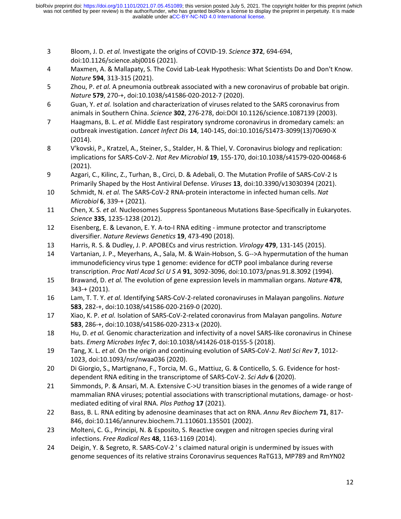- 3 Bloom, J. D. *et al.* Investigate the origins of COVID-19. *Science* **372**, 694-694, doi:10.1126/science.abj0016 (2021).
- 4 Maxmen, A. & Mallapaty, S. The Covid Lab-Leak Hypothesis: What Scientists Do and Don't Know. *Nature* **594**, 313-315 (2021).
- 5 Zhou, P. *et al.* A pneumonia outbreak associated with a new coronavirus of probable bat origin. *Nature* **579**, 270-+, doi:10.1038/s41586-020-2012-7 (2020).
- 6 Guan, Y. *et al.* Isolation and characterization of viruses related to the SARS coronavirus from animals in Southern China. *Science* **302**, 276-278, doi:DOI 10.1126/science.1087139 (2003).
- 7 Haagmans, B. L. *et al.* Middle East respiratory syndrome coronavirus in dromedary camels: an outbreak investigation. *Lancet Infect Dis* **14**, 140-145, doi:10.1016/S1473-3099(13)70690-X (2014).
- 8 V'kovski, P., Kratzel, A., Steiner, S., Stalder, H. & Thiel, V. Coronavirus biology and replication: implications for SARS-CoV-2. *Nat Rev Microbiol* **19**, 155-170, doi:10.1038/s41579-020-00468-6 (2021).
- 9 Azgari, C., Kilinc, Z., Turhan, B., Circi, D. & Adebali, O. The Mutation Profile of SARS-CoV-2 Is Primarily Shaped by the Host Antiviral Defense. *Viruses* **13**, doi:10.3390/v13030394 (2021).
- 10 Schmidt, N. *et al.* The SARS-CoV-2 RNA-protein interactome in infected human cells. *Nat Microbiol* **6**, 339-+ (2021).
- 11 Chen, X. S. *et al.* Nucleosomes Suppress Spontaneous Mutations Base-Specifically in Eukaryotes. *Science* **335**, 1235-1238 (2012).
- 12 Eisenberg, E. & Levanon, E. Y. A-to-I RNA editing immune protector and transcriptome diversifier. *Nature Reviews Genetics* **19**, 473-490 (2018).
- 13 Harris, R. S. & Dudley, J. P. APOBECs and virus restriction. *Virology* **479**, 131-145 (2015).
- 14 Vartanian, J. P., Meyerhans, A., Sala, M. & Wain-Hobson, S. G-->A hypermutation of the human immunodeficiency virus type 1 genome: evidence for dCTP pool imbalance during reverse transcription. *Proc Natl Acad Sci U S A* **91**, 3092-3096, doi:10.1073/pnas.91.8.3092 (1994).
- 15 Brawand, D. *et al.* The evolution of gene expression levels in mammalian organs. *Nature* **478**, 343-+ (2011).
- 16 Lam, T. T. Y. *et al.* Identifying SARS-CoV-2-related coronaviruses in Malayan pangolins. *Nature* **583**, 282-+, doi:10.1038/s41586-020-2169-0 (2020).
- 17 Xiao, K. P. *et al.* Isolation of SARS-CoV-2-related coronavirus from Malayan pangolins. *Nature* **583**, 286-+, doi:10.1038/s41586-020-2313-x (2020).
- 18 Hu, D. *et al.* Genomic characterization and infectivity of a novel SARS-like coronavirus in Chinese bats. *Emerg Microbes Infec* **7**, doi:10.1038/s41426-018-0155-5 (2018).
- 19 Tang, X. L. *et al.* On the origin and continuing evolution of SARS-CoV-2. *Natl Sci Rev* **7**, 1012- 1023, doi:10.1093/nsr/nwaa036 (2020).
- 20 Di Giorgio, S., Martignano, F., Torcia, M. G., Mattiuz, G. & Conticello, S. G. Evidence for hostdependent RNA editing in the transcriptome of SARS-CoV-2. *Sci Adv* **6** (2020).
- 21 Simmonds, P. & Ansari, M. A. Extensive C->U transition biases in the genomes of a wide range of mammalian RNA viruses; potential associations with transcriptional mutations, damage- or hostmediated editing of viral RNA. *Plos Pathog* **17** (2021).
- 22 Bass, B. L. RNA editing by adenosine deaminases that act on RNA. *Annu Rev Biochem* **71**, 817- 846, doi:10.1146/annurev.biochem.71.110601.135501 (2002).
- 23 Molteni, C. G., Principi, N. & Esposito, S. Reactive oxygen and nitrogen species during viral infections. *Free Radical Res* **48**, 1163-1169 (2014).
- 24 Deigin, Y. & Segreto, R. SARS-CoV-2 ' s claimed natural origin is undermined by issues with genome sequences of its relative strains Coronavirus sequences RaTG13, MP789 and RmYN02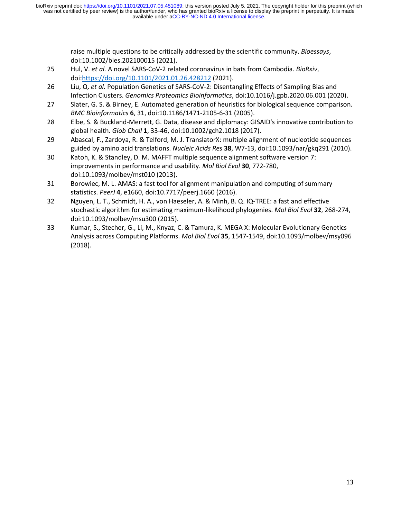> raise multiple questions to be critically addressed by the scientific community. *Bioessays*, doi:10.1002/bies.202100015 (2021).

- 25 Hul, V. *et al.* A novel SARS-CoV-2 related coronavirus in bats from Cambodia. *BioRxiv*, doi[:https://doi.org/10.1101/2021.01.26.428212](https://doi.org/10.1101/2021.01.26.428212) (2021).
- 26 Liu, Q. *et al.* Population Genetics of SARS-CoV-2: Disentangling Effects of Sampling Bias and Infection Clusters. *Genomics Proteomics Bioinformatics*, doi:10.1016/j.gpb.2020.06.001 (2020).
- 27 Slater, G. S. & Birney, E. Automated generation of heuristics for biological sequence comparison. *BMC Bioinformatics* **6**, 31, doi:10.1186/1471-2105-6-31 (2005).
- 28 Elbe, S. & Buckland-Merrett, G. Data, disease and diplomacy: GISAID's innovative contribution to global health. *Glob Chall* **1**, 33-46, doi:10.1002/gch2.1018 (2017).
- 29 Abascal, F., Zardoya, R. & Telford, M. J. TranslatorX: multiple alignment of nucleotide sequences guided by amino acid translations. *Nucleic Acids Res* **38**, W7-13, doi:10.1093/nar/gkq291 (2010).
- 30 Katoh, K. & Standley, D. M. MAFFT multiple sequence alignment software version 7: improvements in performance and usability. *Mol Biol Evol* **30**, 772-780, doi:10.1093/molbev/mst010 (2013).
- 31 Borowiec, M. L. AMAS: a fast tool for alignment manipulation and computing of summary statistics. *PeerJ* **4**, e1660, doi:10.7717/peerj.1660 (2016).
- 32 Nguyen, L. T., Schmidt, H. A., von Haeseler, A. & Minh, B. Q. IQ-TREE: a fast and effective stochastic algorithm for estimating maximum-likelihood phylogenies. *Mol Biol Evol* **32**, 268-274, doi:10.1093/molbev/msu300 (2015).
- 33 Kumar, S., Stecher, G., Li, M., Knyaz, C. & Tamura, K. MEGA X: Molecular Evolutionary Genetics Analysis across Computing Platforms. *Mol Biol Evol* **35**, 1547-1549, doi:10.1093/molbev/msy096 (2018).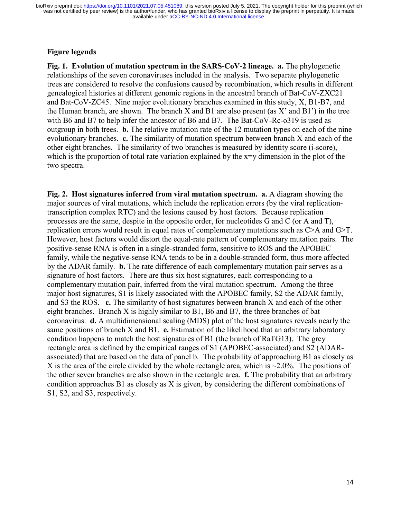# **Figure legends**

**Fig. 1. Evolution of mutation spectrum in the SARS-CoV-2 lineage. a.** The phylogenetic relationships of the seven coronaviruses included in the analysis. Two separate phylogenetic trees are considered to resolve the confusions caused by recombination, which results in different genealogical histories at different genomic regions in the ancestral branch of Bat-CoV-ZXC21 and Bat-CoV-ZC45. Nine major evolutionary branches examined in this study, X, B1-B7, and the Human branch, are shown. The branch  $X$  and  $B1$  are also present (as  $X'$  and  $B1'$ ) in the tree with B6 and B7 to help infer the ancestor of B6 and B7. The Bat-CoV-Rc-o319 is used as outgroup in both trees. **b.** The relative mutation rate of the 12 mutation types on each of the nine evolutionary branches. **c.** The similarity of mutation spectrum between branch X and each of the other eight branches. The similarity of two branches is measured by identity score (i-score), which is the proportion of total rate variation explained by the x=y dimension in the plot of the two spectra.

**Fig. 2. Host signatures inferred from viral mutation spectrum. a.** A diagram showing the major sources of viral mutations, which include the replication errors (by the viral replicationtranscription complex RTC) and the lesions caused by host factors. Because replication processes are the same, despite in the opposite order, for nucleotides G and C (or A and T), replication errors would result in equal rates of complementary mutations such as C>A and G>T. However, host factors would distort the equal-rate pattern of complementary mutation pairs. The positive-sense RNA is often in a single-stranded form, sensitive to ROS and the APOBEC family, while the negative-sense RNA tends to be in a double-stranded form, thus more affected by the ADAR family. **b.** The rate difference of each complementary mutation pair serves as a signature of host factors. There are thus six host signatures, each corresponding to a complementary mutation pair, inferred from the viral mutation spectrum. Among the three major host signatures, S1 is likely associated with the APOBEC family, S2 the ADAR family, and S3 the ROS. **c.** The similarity of host signatures between branch X and each of the other eight branches. Branch X is highly similar to B1, B6 and B7, the three branches of bat coronavirus. **d.** A multidimensional scaling (MDS) plot of the host signatures reveals nearly the same positions of branch X and B1. **e.** Estimation of the likelihood that an arbitrary laboratory condition happens to match the host signatures of B1 (the branch of RaTG13). The grey rectangle area is defined by the empirical ranges of S1 (APOBEC-associated) and S2 (ADARassociated) that are based on the data of panel b. The probability of approaching B1 as closely as X is the area of the circle divided by the whole rectangle area, which is  $\sim$ 2.0%. The positions of the other seven branches are also shown in the rectangle area. **f.** The probability that an arbitrary condition approaches B1 as closely as X is given, by considering the different combinations of S1, S2, and S3, respectively.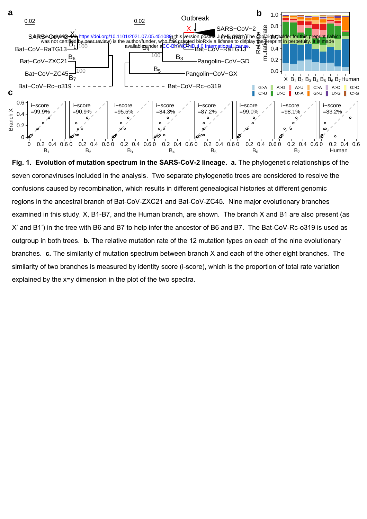

**Fig. 1. Evolution of mutation spectrum in the SARS-CoV-2 lineage. a.** The phylogenetic relationships of the seven coronaviruses included in the analysis. Two separate phylogenetic trees are considered to resolve the confusions caused by recombination, which results in different genealogical histories at different genomic regions in the ancestral branch of Bat-CoV-ZXC21 and Bat-CoV-ZC45. Nine major evolutionary branches examined in this study, X, B1-B7, and the Human branch, are shown. The branch X and B1 are also present (as X' and B1') in the tree with B6 and B7 to help infer the ancestor of B6 and B7. The Bat-CoV-Rc-o319 is used as outgroup in both trees. **b.** The relative mutation rate of the 12 mutation types on each of the nine evolutionary branches. **c.** The similarity of mutation spectrum between branch X and each of the other eight branches. The similarity of two branches is measured by identity score (i-score), which is the proportion of total rate variation explained by the x=y dimension in the plot of the two spectra.